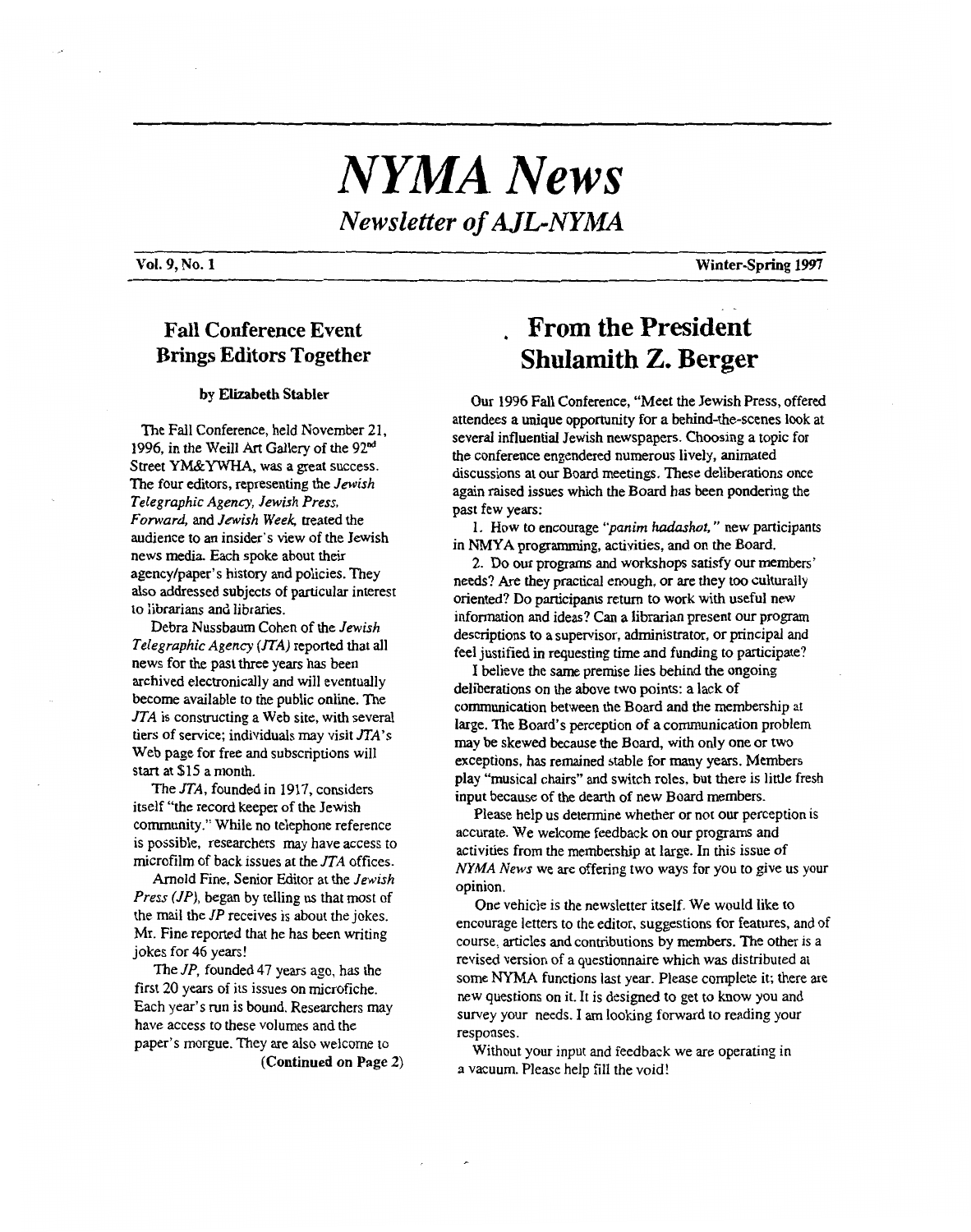# *NYMA News Newsletter of AJL-NYMA*

### **Fall Conference Event Brings Editors Together**

#### **by Elizabeth Stabler**

The Fall Conference, held November 21, 1996, in the Weill *Art* Gallery of the **92&**  Street YM&YWHA, was a great success. The four editors, representing the *Jewish Telegraphic Agency, Jewish Press, Forward,* and *Jewish Week,* treated the audience to an insider's view of the Jewish news media. Each spoke about their agencylpaper's history and policies. They also addressed subjects of particular interest lo **ii'orarians** and libraries.

Debra Nussbaum Cohen of the *Jewish Telegraphic Agency {SrA)* reported that all news for the past three years has been archived electronically and will eventually become available to the public online. The *JTA* is constructing a Web site, with several tiers of service; individuals may visit *JTA's*  Web page for free and subscriptions will start at \$15 a month.

The *JTA,* founded in 1917, considers itself "the record keeper of the Jewish community." While no telephone reference is possible, researchers may have access to microfilm of back issues at the *JTA* offices.

Arnold Fine, Senior Editor at the *Jewish Press UP),* began by telling us that most of the mail the *JP* receives is about the jokes. Mr. Fine reported that he has been writing jokes for 46 years!

The *JP,* founded 47 years ago, **has** the first **20** years of its issues on microfiche. Each year's run is bound. Researchers may have access to these volumes and the paper's morgue. They are also welcome to

**(Continued on Page 2)** 

# . **From the President Shulamith** 2. **Berger**

**Our** 1996 Fall Conference, "Meet the Jewish Press, offered attendees a unique opportunity for a behind-the-scenes look at several influential Jewish newspapers. Choosing a topic for the conference engendered numerous lively, animated discussions at our Board meetings. These deliberations once again raised issues which the Board has been pondering the past few years:

in **NMYA** programming, activities, and on the Board. 1. How to encourage *')anim hadashot,* " new participants

needs? Are they practical enough, or are they too culturally oriented? Do participants return to work with useful new information and ideas? Can a librarian present our program descriptions to a supervisor, administrator, or principal and feel justified in requesting time and funding to participate? 2. Do our programs and workshops satisfy our members'

I believe the **same** premise lies behind the ongoing deliberations on the above two points: a lack of communication between the Board and the membership at large. The Board's perception of **a** communication problem may be skewed because the Board, with only one or two exceptions, has remained stable for many years. Members play "musical chairs" and switch roles, but there is little fresh input because of the dearth of new Board members.

Please help us determine whether or not our perception is accurate. We welcome feedback on our programs and activities from the membership at large. In this issue of *NYMA News* we are offering two ways for you to give us your opinion.

One vehicle is the newsletter itself. We would like to encourage letters to the editor, suggestions for features, and of course, articles and contributions by members. The other is a revised version of a questionnaire which was distributed at some **NYMA** functions last year. Please complete it; there are new questions on it. It is designed to get to know you and survey your needs. I **am** looking forward to reading your responses.

Without your input and feedback we are operating in a vacuum. Please help fill the void!

**Vol. 9, No. 1** *Winter-Spring 1997*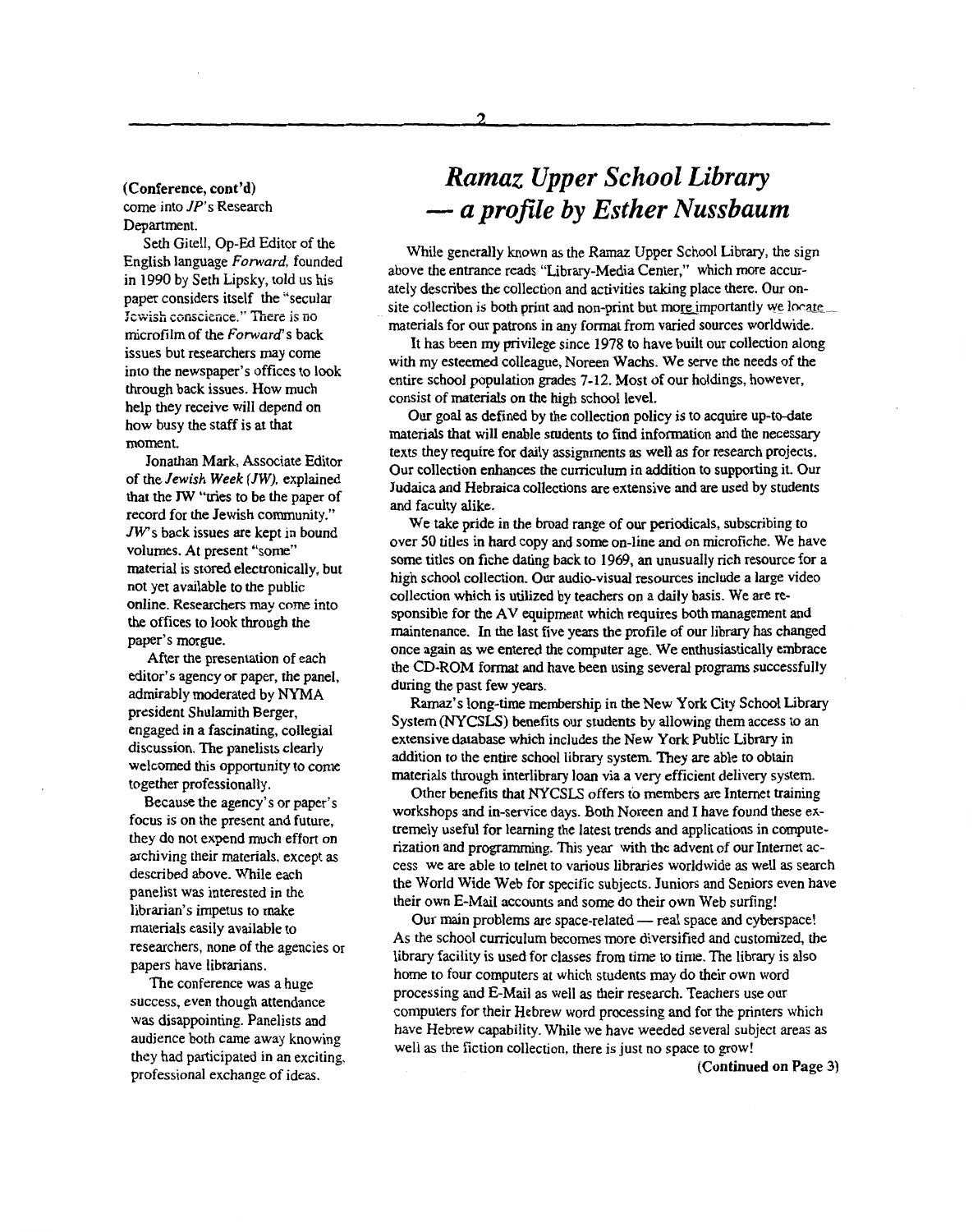#### (Conference, cont'd) come into *JP's* Research Department.

Seth Gitell, Op-Ed Editor of the English language *Forward,* founded in **1990** by Seth Lipsky, told us his paper considers itself the "secular Jewish conscience." There is no microfilm of the *Forward's* back issues but researchers may come into the newspaper's offices to **look**  through back issues. How much help they receive will depend on how busy the **staff** is at that moment.

Jonathan Mark, Associate Editor of the *Jewish Week (JW),* explained that the *JW* "tries to be the paper of record for the Jewish community." *JWs* back issues are kept in bound volumes. **At** present "some" material is stored electronically, but not yet available to the public online. Researchers **may** come into the offices to look through the paper's morgue.

After the presentation of each editor's agency or paper, the panel, admirably moderated by **NYMA**  president Shulamith Berger, engaged in a fascinating, collegial discussion. The panelists clearly welcomed this opportunity to come together professionally.

Because the agency's or paper's focus is on the present and future, they do not expend much effort on archiving their materials, except **as**  described above. While each panelist was interested in the librarian's impetus to make materials easily available to researchers, none of the agencies or papers have librarians.

The conference was a huge success, even though attendance was disappointing. Panelists and audience both came away knowing they had participated in an exciting, professional exchange of ideas.

# *Ramaz Upper School Library*  - *a profile by Esther Nussbaum*

While generally known **as** the Ramaz Upper School Library, the sign above the entrance reads "Library-Media Center," which more accurately describes the collection and activities taking place there. Our onsite collection is both print and non-print but more importantly we locate materials for our patrons in any format from varied sources worldwide.

with my esteemed colleague, Noreen Wachs. We serve the needs of the entire school population grades 7-12. Most of our holdings, however, consist of materials on the **high** school level. It has been my privilege since **1978** to have built our collection along

**Our** goal **as** defined by the collection policy is to acquire up-to-date materials that will enable students to **find** information and the necessary texts they require for daily assignments **as** well **as** for research projects. **Our** collection enhances the cumculum in addition to supporting it. Our Judaica and Hebraica collections are extensive and are used by students and faculty alike.

We take pride in the broad range of our periodicals, subscribing to over **50** titles in hard copy and some on-line and on microfiche. We have some titles on fiche dating back to **1969, an** unusually rich resource for a high school collection. Our audio-visual resources include a large video collection which is utilized by teachers on a daily basis. We are responsible for the **AV** equipment which requires **both** management and maintenance. In the last five years the profile **of** our library has changed once again **as** we entered the computer age. We enthusiastically enbrace the **CD-ROM** format and have been using several programs successfully during the past few **years.** 

**Ramaz's** long-time membership in the New York City School Library System *(NYCSLS)* benefits our students by allowing them access to an extensive database which includes the New York Public Library in addition to the entire school library system. They are able to obtain materials through interlibrary loan via a very efficient delivery system.

Other benefits that **NYCSLS** offers to **members** are Internet training workshops and in-service days. Both Noreen and **I** have found these extremely useful for learning the latest trends and applications in computerization and programming. This year with the advent **of** our Internet access we **are** able to telnet to various libraries worldwide **as** well **as** search the World Wide Web for specific subjects, Juniors and Seniors even have their own E-Mail accounts and some do their own Web surfing!

Our main problems are space-related - real space and cyberspace! As the school curriculum becomes more diversified and customized, the library facility is used for classes from time to time. The library is also home to four computers at which students may do their own word processing and E-Mail **as** well **as** their research. Teachers use our computers for their Hebrew word processing and for the printers which have Hebrew capability. While we have weeded several subject areas **as**  well **as** the fiction collection, there is just no space to grow!

(Continued **on** Page **3)**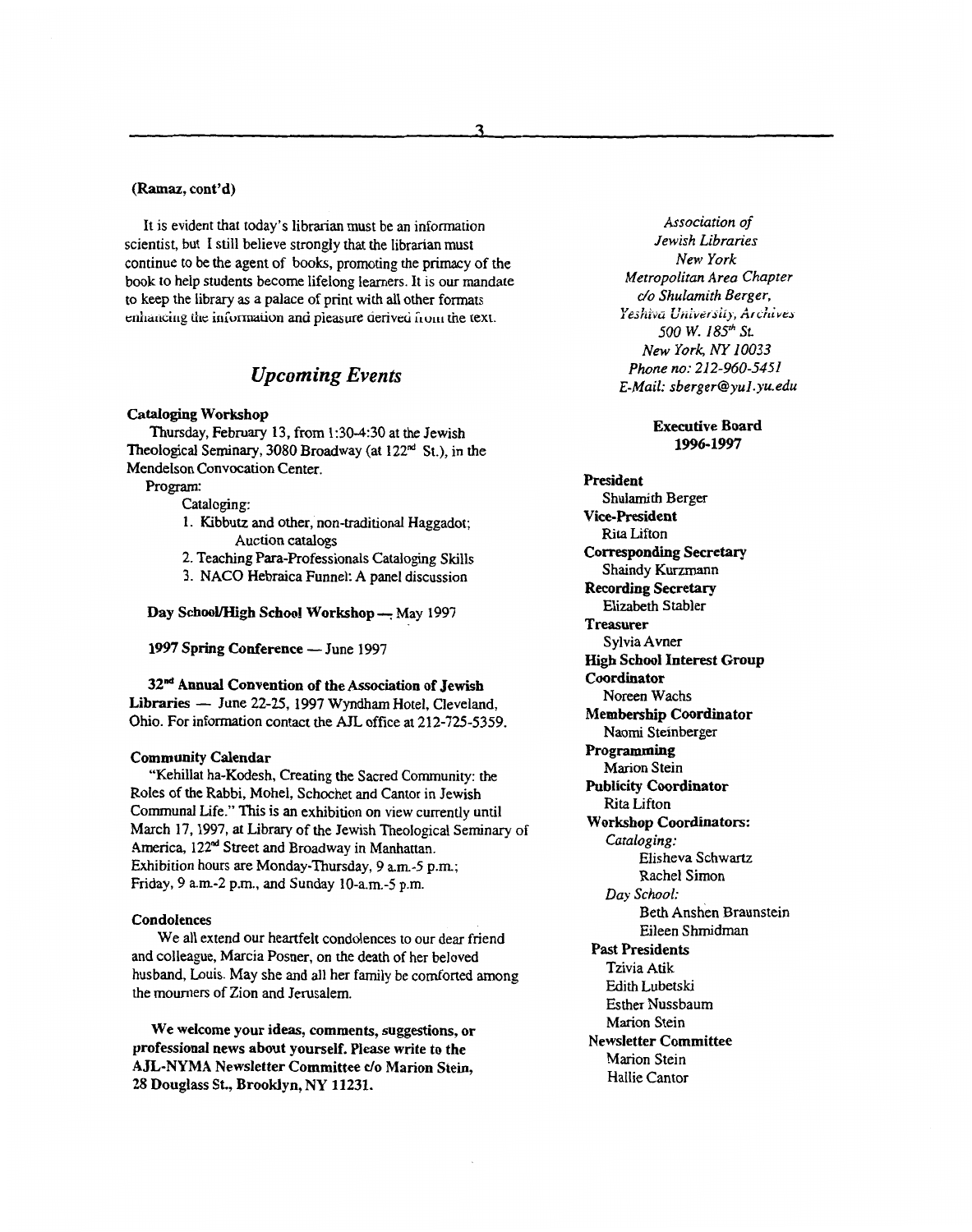#### **(Ramaz, cont'd)**

It is evident that today's librarian must be an information scientist, but I still believe strongly that the librarian must continue to be the agent of books, promoting the primacy of the book to help students become lifelong learners. It is our mandate to keep the library **as** a palace of print with all other formats **t.riiiaiic;irig** tiic **iriCormaiivn** ana pieasure aerivcri **iiwi** the text.

### *Upcoming Events*

#### **Cataloging Workshop**

Thursday, February **13,** from **1:30430** at the Jewish Theological Seminary, 3080 Broadway (at 122" St.), in the Mendelson Convocation Center.

Program:

Cataloging:

- **1.** Kibbutz and other, non-traditional Haggadot; Auction catalogs
- 2. Teaching Para-Professionals Cataloging Skills
- 3. NACO Hebraica Funnel: A panel discussion

Day School/High School Workshop - May 1997

1997 Spring Conference - June 1997

**32" Annual Convention of the Association of Jewish Libraries — June 22-25, 1997 Wyndham Hotel, Cleveland,** Ohio. For information contact the AJL office at 212-725-5359.

#### **Community Calendar**

"Kehillat ha-Kodesh, Creating the Sacred Community: the Roles of the Rabbi, Mohel, Schochet **and** Cantor in Jewish Communal Life." This is an exhibition on view currently until March 17,1997, at Library of the Jewish Theological Seminary of America, 122" Street and Broadway in Manhattan. Exhibition hours are Monday-Thursday, 9 a.m.-5 p.m; Friday, 9 am-2 p.m., and Sunday **10-a.m.-5 p.m.** 

#### **Condolences**

and colleague, Marcia Posner, on the death of her beloved husband, Louis. May she and all her family be comforted among the mourners of Zion and Jerusalem. We all extend our heartfelt condolences to our dear friend

**We welcome your ideas, comments, suggestions, or professional news about yourself. Please write to the AJL-NYMA Newsletter Committee** *c/o* **Marion Stein, 28 Douglas** *St.,* **Brooklyn, NY 11231.** 

*Association of Jewish Libraries New York Metropolitan Area Chapter do Shulamith Berger, 500 W. 185~ St. New York, Ny 10033 Phone no: 212-940-5451 E-Mail: sberger@yul.yu.edu Ydii vci t:ci vu3 iij, Ai Lid YW* 

> **Executive Board 1996-1997**

**President**  Shulamith Berger **Vice-President Rita** Lifton **Corresponding Secretary**  Shaindy Kurzmann **Recording Secretary**  Elizabeth Stabler **Treasurer**  Sylvia Avner **High School Interest Group Coordinator Membership Coordinator Programming Publicity Coordinator Workshop Coordinators:**  Elisheva Schwartz Rachel Simon Beth Anshen Braunstein Eileen Shmidman Noreen Wachs Naomi Steinberger Marion Stein **Rita** Lifton *Cataloging: Day School:*  **Past Presidents**  Tzivia **Atik**  Edith Lubetski Esther Nussbaum Marion Stein **Newsletter Committee**  Marion Stein Hallie Cantor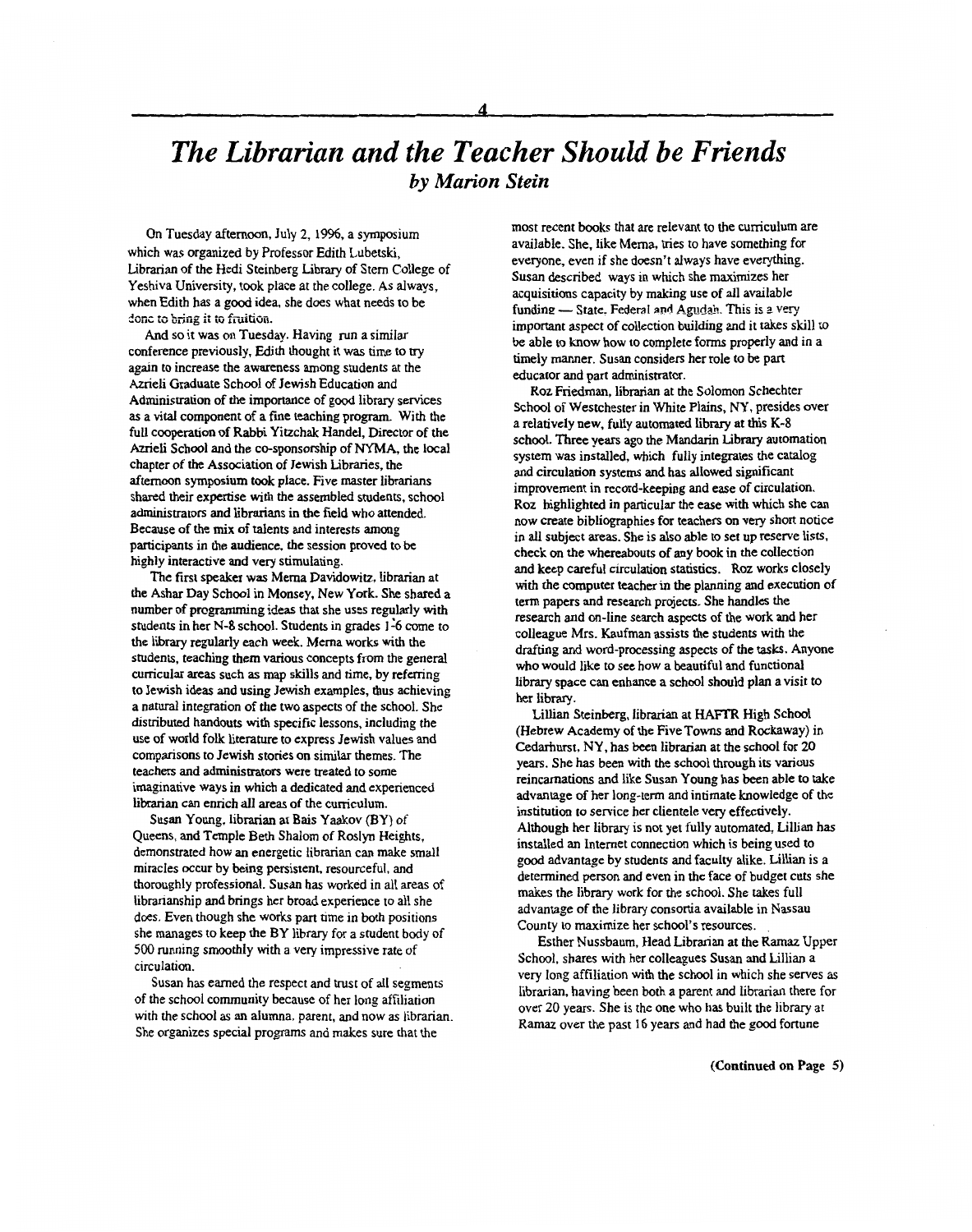# *The Librarian and the Teacher Should be Friends by Marion Stein*

On Tuesday afternoon, July 2, 1996, a symposium which was organized by Professor Edith Lubetski, Librarian of the Hedi Steinberg Library of Stem College of Yeshiva University, took place at the college. As always, when Edith has a good idea, she does what needs to be **.'oiie** *13* b;liig **ii iG** fiittioii.

And so it was on Tuesday. Having run a similar conference previously, Edith thought it was time to **try**  again to increase the awareness among students at the Azrieli Graduate School of Jewish Education and Administration of the importance of good library services as a vital component of a fine teaching program. With the full cooperation of Rabbi Yitzchak Handel, Director of the Azrieli School and the co-sponsorship of NYMA, the local chapter of the Association of Jewish Libraries, the afternoon symposium took place. Five master librarians shared their expertise with the assembled students, school administrators and librarians in the field who attended. Because of the mix of talents and interests **among**  participants in the audience, the session proved to be highly interactive and very stimulating.

The first **speaker** was Mema Davidowitz, librarian at the Ashar Day School in Monsey, New York. She shared a number of programming ideas that she uses regularly with students in her N-8 school. Students in grades 1-6 come to the library regularly each week. Mema works with **the**  students, teaching them various concepts from the general curricular areas such **as** map skills and time, by refemng to Jewish ideas and using Jewish examples, thus achieving a natural integration of the two aspects of the school. She distributed handouts with specific lessons, including the use of world folk literature to express Jewish values and comparisons to Jewish stories on similar themes. The teachers and administrators were treated to some imaginative ways in which a dedicated and experienced librarian can enrich all areas of the curriculum.

Susan Young, librarian at **Bais** Yaakov (BY) of Queens, and Temple Beth Shalom of Roslyn Heights, demonstrated how an energetic librarian can make small miracles occur by being persistent, resourceful, and thoroughly professional. Susan has worked in all areas of librarianship and brings her broad experience to all she does. Even though she works part time in both positions she manages to keep the BY library for a student body of 500 running smoothly with a very impressive rate of circulation.

Susan has earned the respect and trust of all segments of the school community because of her long affiliation with the school as an alumna, parent, and now as librarian. She organizes special programs and makes sure that the

most recent books that are relevant to the curriculum are available. She, like Mema, tries to have something for everyone, even if she doesn't always have everything. Susan described ways in which she maximizes her acquisitions capacity by making use of all available funding - State. Federal **and Agudxb.** This is *a* very important aspect of collection building and it takes skill to be able **to** know how to complete forms properly and in a timely manner. **Susan** considers her role to be part educator and part administrator.

**Roz** Friedman, librarian at the Solomon Schechter School of Westchester in White **Plains,** NY, presides over a relatively new, fully automated library at *this* **K-8**  school. Three years ago the Mandarin Library automation system was installed, which fully integrates the catalog and circulation systems and **has** allowed significant improvement in record-keeping and ease of circulation. Roz highlighted in particular the ease with which she can now create bibliographies for teachers on very short notice in all subject areas. She is also able to set up reserve lists, check on the whereabouts of any book in the collection **and** keep careful circulation statistics. Roz works closely with the computer teacher in the planning and execution of term papers and research projects. She handles the research and on-line search aspects of the work and her colleague Mrs. Kaufman assists the students with the drafting and word-processing aspects of the *tasks.* Anyone who would like to see how a beautiful and functional **libmy** space can enhance **a** school should plan a visit to her library.

Lillian Steinberg, librarian at HAFIX High School (Hebrew Academy of the Five Towns and Rockaway) in Cedarhurst, NY, has been librarian at the school for 20 years. She has been with the school through its various reincarnations and like Susan Young has been able to take advantage of her long-term and intimate knowledge of the institution to service her clientele very effectively. Although her library is not yet fully automated, Lillian has installed an Internet connection which is being used to good advantage by students and faculty alike. Lillian is a determined person and even in the face of budget cuts she makes the library work for the school. She takes full advantage of the library consortia available in Nassau County to maximize her school's resources.

Esther Nussbaum, Head Librarian at the Ramaz Upper School, shares with her colleagues Susan and Lillian a very long affiliation with the school in which she serves **as**  librarian, having been both a parent and librarian there for over 20 years. She is the one who has buift the library at Ramaz over the past 16 years and had the good fortune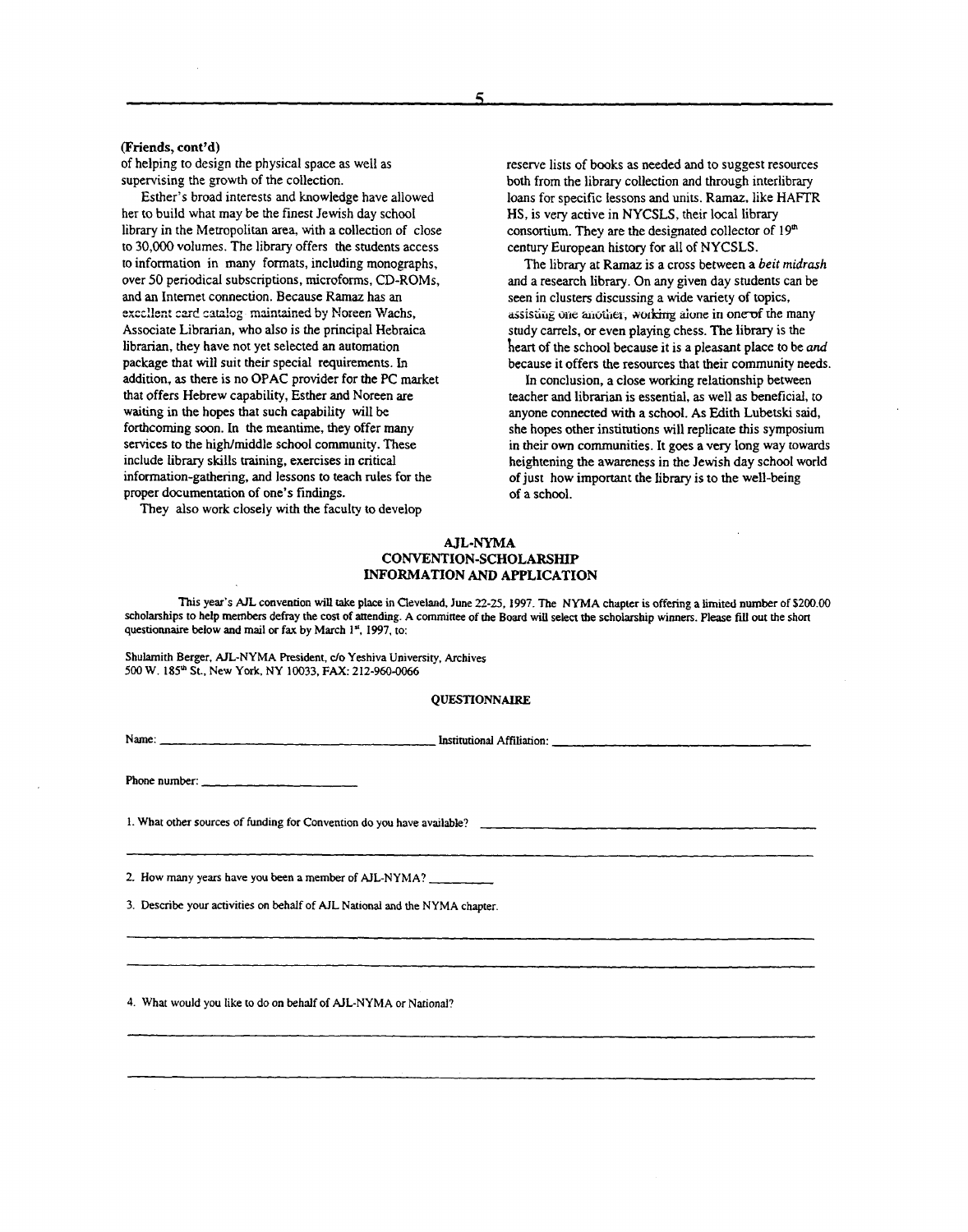#### (Friends, **cont'd)**

of helping to design the physical space as well **as**  supervising the growth of the collection.

her to build what may be the finest Jewish day school library in the Metropolitan area, with a collection of close to **30,000** volumes. The library offers the students access to information in many formats, including monographs, over 50 periodical subscriptions, microforms, CD-ROMs, and an Internet connection. Because **Ramaz** has **an**  exccllent card catalog-maintained by Noreen Wachs, Associate Librarian, who also is the principal Hebraica librarian, they have not yet selected **an** automation package that will suit their special requirements. In addition, as there is no OPAC provider for the PC market that offers Hebrew capability, Esther and Noreen are waiting in the hopes that such capability will be forthcoming soon. In the meantime, they offer many services to the high/middle school community. These include library skills training, exercises in critical information-gathering, and lessons to teach rules for the proper documentation of one's findings. Esther's broad interests **and** knowledge have allowed

They also work closely with the faculty to develop

reserve lists of books as needed and to suggest resources both from the library collection and through interlibrary **loans** for specific lessons and units. **Ramaz,** like **HAFTR**  HS, is very active in NYCSLS, their local library consortium. They are the designated collector **of** 19" century European history for all of NYCSLS.

and a research library. On any given day students can be seen in clusters discussing a wide variety **of** topics, assisting one another, working alone in one of the many study carrels, **or** even playing chess. The library is the heart of the school because it is a pleasant place to be *and*  because it offers the resources that their community needs. The library at **Ramaz is** a cross between a *beit* **midrash** 

In conclusion, a close working relationship between teacher and librarian is essential, **as** well as beneficial, to anyone connected with a school. **As** Edith **Lubetski** said, she hopes other institutions will replicate this symposium in their own communities. It goes a very long way towards heightening the awareness in the Jewish day school world of just how important the **library** is to the well-being of a school.

#### **AJL-NYMA CONVENTION-SCHOLARSHIP INFORMATION** *AND* **APPLICATION**

**This year's AJL convention** will **rake place in Cleveland, June 22-25.1997. The NYMA chapter is offering a limit4 number** of **S200.00**  scholarships to help members defray the cost of attending. A committee of the Board will select the scholarship winners. Please fill out the short **questionnaire below and mail or fax by March 1'. 1997, to:** 

**Shulamith Berger, AIL-NYMA President,** *do* **Yeshiva University, Archives 500 W. 185" St., New York NY 10033,** *FAX:* **212-960-0066** 

#### **QUESTIONNAIRE**

**Name:** Institutional **Affiliation:** 

**Phone number:** 

**1. What other sources of funding for Convention do you have available?** 

**2. How many years have you been a member of AJL-NYMA?** 

*3.* **Describe your activities on behalf** of **AJL National** and **the NYMA chapter** 

**4. What would you like to** do **on behalf of AIL-NYMA** or **National?**